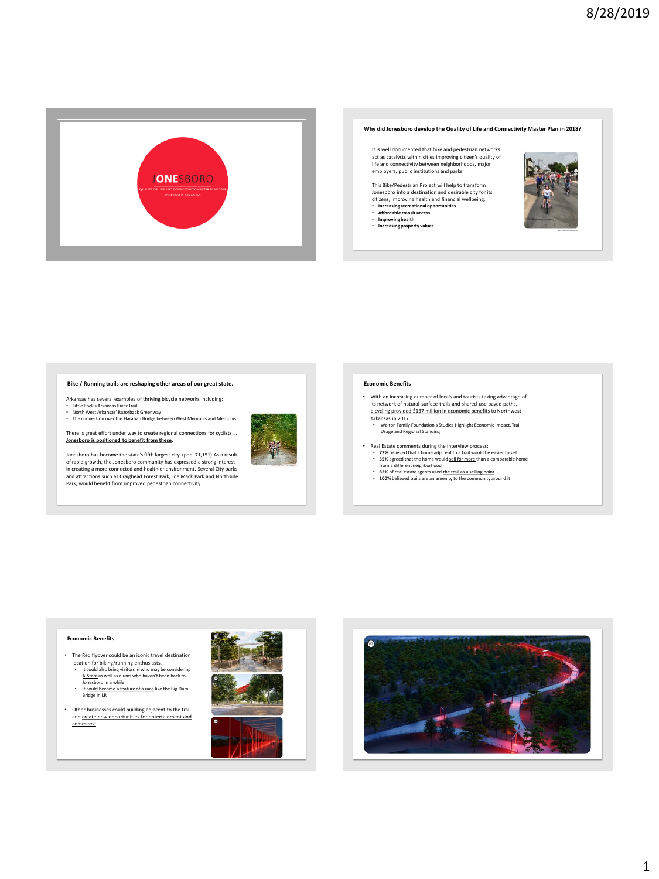

#### **Why did Jonesboro develop the Quality of Life and Connectivity Master Plan in 2018?**

It is well documented that bike and pedestrian networks act as catalysts within cities improving citizen's quality of life and connectivity between neighborhoods, major employers, public institutions and parks.

This Bike/Pedestrian Project will help to transform Jonesboro into a destination and desirable city for its citizens, improving health and financial wellbeing. • **Increasing recreational opportunities** • **Affordable transit access**

- 
- 
- **Improving health Increasing property values**



# **Bike / Running trails are reshaping other areas of our great state.**

- Arkansas has several examples of thriving bicycle networks including:
- Little Rock's Arkansas River Trail<br>• North West Arkansas' Razorback Greenway<br>• The connection over the Harahan Bridge between West Memphis and Memphis.

There is great effort under way to create regional connections for cyclists … **Jonesboro is positioned to benefit from these**.

Jonesboro has become the state's fifth largest city. (pop. 71,151) As a result of rapid growth, the Jonesboro community has expressed a strong interest in creating a more connected and healthier environment. Several City parks and attractions such as Craighead Forest Park, Joe Mack Park and Northside Park, would benefit from improved pedestrian connectivity.



#### **Economic Benefits**

- With an increasing number of locals and tourists taking advantage of its network of natural-surface trails and shared-use paved paths,<br>bicycling provided \$137 million in economic benefits to Northwest
	- Arkansas in 2017. Walton Family Foundation's Studies Highlight Economic Impact, Trail Usage and Regional Standing
- Real Estate comments during the interview process:
	- **73%** believed that a home adjacent to a trail would be easier to sell **55%** agreed that the home would sell for more than a comparable home
	-
	- from a different neighborhood **82%** of real estate agents used the trail as a selling point **100%** believed trails are an amenity to the community around it
	-

# **Economic Benefits**

- The Red flyover could be an iconic travel destination location for biking/running enthusiasts.
	- It could also <u>bring visitors in who may be considering</u><br>A-State as well as alums who haven't been back to<br>Jonesboro in a while.<br>• It <u>could bec</u>ome a feature of a race like the Big Dam
	- Bridge in LR
- Other businesses could building adjacent to the trail and create new opportunities for entertainment and commerce.



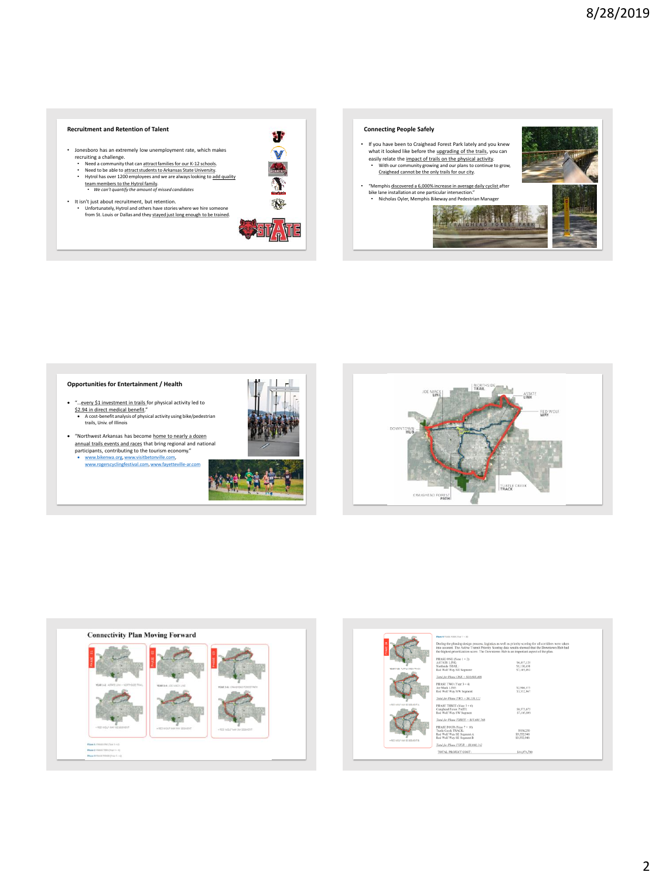# **Recruitment and Retention of Talent**

- Jonesboro has an extremely low unemployment rate, which makes
	-
	- recruiting a challenge.<br>
	Need a community that can <u>attractfamilies for our K-12 schools</u>.<br>
	Need to be able to a<u>ttractfaulents to Arkansas State University.</u><br>
	Nytrol has over 1200 employees and we are always looking
	-
- It isn't just about recruitment, but retention. Unfortunately, Hytrol and others have stories where we hire someone from St. Louis or Dallas and they stayed just long enough to be trained.



 $\mathbf{v}$  $\widehat{\mathbf{V}}$ 

#### **Connecting People Safely**

- If you have been to Craighead Forest Park lately and you knew what it looked like before the <u>upgrading of the trails</u>, you can<br>easily relate the <u>impact of trails on the physical activity</u>. • With our community growing and our plans to continue to grow, Craighead cannot be the only trails for our city.
- "Memphis discovered a 6,000% increase in average daily cyclist after bike lane installation at one particular intersection." • Nicholas Oyler, Memphis Bikeway and Pedestrian Manager



# **Opportunities for Entertainment / Health**

- "…every \$1 investment in trails for physical activity led to \$2.94 in direct medical benefit." A cost-benefit analysis of physical activity using bike/pedestrian trails, Univ. of Illinois
- "Northwest Arkansas has become home to nearly a dozen annual trails events and races that bring regional and national participants, contributing to the tourism economy."
- [www.bikenwa.org](http://www.bikenwa.org/), [www.visitbetonville.com,](http://www.visitbetonville.com/) [www.rogerscyclingfestival.com,](http://www.rogerscyclingfestival.com/) [www.fayetteville-ar.com](http://www.fayetteville-ar.com/)







|                                | Phase 4 PRASS FOUR (Year 7 + 14)<br>During the phasing design process, logistics as well as priority scoring for all corridors were taken<br>into account. The Active Transit Priority Scoring data results showed that the Downtown Hub had |                            |
|--------------------------------|----------------------------------------------------------------------------------------------------------------------------------------------------------------------------------------------------------------------------------------------|----------------------------|
|                                | the highest prioritization score. The Downtown Hub is an important aspect of the plan.                                                                                                                                                       |                            |
|                                | PHASE ONE (Year 1+2)                                                                                                                                                                                                                         |                            |
|                                | ASTATE LINK:<br>Northside TRAIL:                                                                                                                                                                                                             | \$6,457,125<br>\$1,130,450 |
| YEAR 7-30: TURTLE CREEK TRACK  | Red Wolf Way NE Segment:                                                                                                                                                                                                                     | \$7,105,993                |
|                                | Total for Phase ONE = \$14,693,468                                                                                                                                                                                                           |                            |
|                                |                                                                                                                                                                                                                                              |                            |
|                                | PHASE TWO (Year 3+4)<br>Joe Mack LINE:                                                                                                                                                                                                       | \$2,986,375                |
|                                | Red Wolf Way NW Seament                                                                                                                                                                                                                      | \$3,552.947                |
|                                | Total for Phane TWO = \$6,539,322                                                                                                                                                                                                            |                            |
| + RED WOUF WAY SE SEDWENT A    | PHASE THREE (Year 5 + 6)                                                                                                                                                                                                                     |                            |
|                                | Craighead Forest PATH:<br>Red Wolf Way SW Segment                                                                                                                                                                                            | \$8,575,875<br>\$7,105,893 |
|                                |                                                                                                                                                                                                                                              |                            |
|                                | Total for Phase THREE - \$15,681,768                                                                                                                                                                                                         |                            |
|                                | PHASE FOUR (Year 7 + 10)                                                                                                                                                                                                                     |                            |
|                                | Turtle Creek TRACK:                                                                                                                                                                                                                          | \$954.250                  |
|                                | Red Wolf Way SE Segment A<br>Red Wolf Way SE Segment B                                                                                                                                                                                       | \$1,552,946<br>\$1,552,946 |
| + RED VIOLE VIAY SE SEDVIENT & |                                                                                                                                                                                                                                              |                            |
|                                | Total for Phase FOUR - \$8,060,142                                                                                                                                                                                                           |                            |
|                                | TOTAL PROJECT COST:                                                                                                                                                                                                                          | \$44,974,700               |